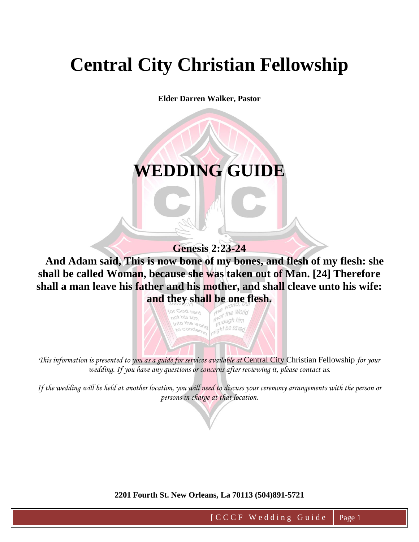# **Central City Christian Fellowship**

**Elder Darren Walker, Pastor**

# **WEDDING GUIDE**

## **Genesis 2:23-24**

 **And Adam said, This is now bone of my bones, and flesh of my flesh: she shall be called Woman, because she was taken out of Man. [24] Therefore shall a man leave his father and his mother, and shall cleave unto his wife:** 



*This information is presented to you as a guide for services available at* Central City Christian Fellowship *for your wedding. If you have any questions or concerns after reviewing it, please contact us.*

*If the wedding will be held at another location, you will need to discuss your ceremony arrangements with the person or persons in charge at that location.* 

#### **2201 Fourth St. New Orleans, La 70113 (504)891-5721**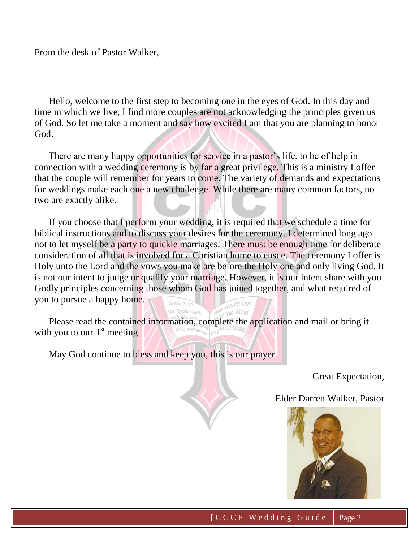From the desk of Pastor Walker,

 Hello, welcome to the first step to becoming one in the eyes of God. In this day and time in which we live, I find more couples are not acknowledging the principles given us of God. So let me take a moment and say how excited I am that you are planning to honor God.

 There are many happy opportunities for service in a pastor's life, to be of help in connection with a wedding ceremony is by far a great privilege. This is a ministry I offer that the couple will remember for years to come. The variety of demands and expectations for weddings make each one a new challenge. While there are many common factors, no two are exactly alike.

 If you choose that I perform your wedding, it is required that we schedule a time for biblical instructions and to discuss your desires for the ceremony. I determined long ago not to let myself be a party to quickie marriages. There must be enough time for deliberate consideration of all that is involved for a Christian home to ensue. The ceremony I offer is Holy unto the Lord and the vows you make are before the Holy one and only living God. It is not our intent to judge or qualify your marriage. However, it is our intent share with you Godly principles concerning those whom God has joined together, and what required of you to pursue a happy home.

 Please read the contained information, complete the application and mail or bring it with you to our  $1<sup>st</sup>$  meeting.

May God continue to bless and keep you, this is our prayer.

Great Expectation,

Elder Darren Walker, Pastor

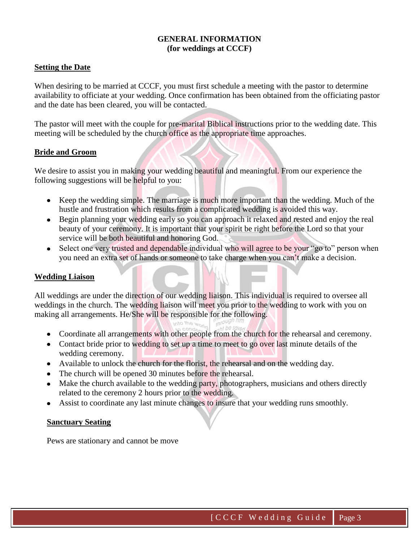#### **GENERAL INFORMATION (for weddings at CCCF)**

#### **Setting the Date**

When desiring to be married at CCCF, you must first schedule a meeting with the pastor to determine availability to officiate at your wedding. Once confirmation has been obtained from the officiating pastor and the date has been cleared, you will be contacted.

The pastor will meet with the couple for pre-marital Biblical instructions prior to the wedding date. This meeting will be scheduled by the church office as the appropriate time approaches.

#### **Bride and Groom**

We desire to assist you in making your wedding beautiful and meaningful. From our experience the following suggestions will be helpful to you:

- Keep the wedding simple. The marriage is much more important than the wedding. Much of the hustle and frustration which results from a complicated wedding is avoided this way.
- Begin planning your wedding early so you can approach it relaxed and rested and enjoy the real beauty of your ceremony. It is important that your spirit be right before the Lord so that your service will be both beautiful and honoring God.
- Select one very trusted and dependable individual who will agree to be your "go to" person when you need an extra set of hands or someone to take charge when you can't make a decision.

#### **Wedding Liaison**

All weddings are under the direction of our wedding liaison. This individual is required to oversee all weddings in the church. The wedding liaison will meet you prior to the wedding to work with you on making all arrangements. He/She will be responsible for the following.

- Coordinate all arrangements with other people from the church for the rehearsal and ceremony.
- Contact bride prior to wedding to set up a time to meet to go over last minute details of the wedding ceremony.
- Available to unlock the church for the florist, the rehearsal and on the wedding day.
- The church will be opened 30 minutes before the rehearsal.
- Make the church available to the wedding party, photographers, musicians and others directly related to the ceremony 2 hours prior to the wedding.
- Assist to coordinate any last minute changes to insure that your wedding runs smoothly.

#### **Sanctuary Seating**

Pews are stationary and cannot be move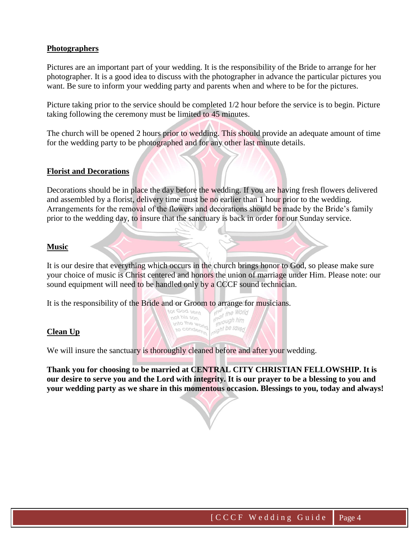#### **Photographers**

Pictures are an important part of your wedding. It is the responsibility of the Bride to arrange for her photographer. It is a good idea to discuss with the photographer in advance the particular pictures you want. Be sure to inform your wedding party and parents when and where to be for the pictures.

Picture taking prior to the service should be completed 1/2 hour before the service is to begin. Picture taking following the ceremony must be limited to 45 minutes.

The church will be opened 2 hours prior to wedding. This should provide an adequate amount of time for the wedding party to be photographed and for any other last minute details.

#### **Florist and Decorations**

Decorations should be in place the day before the wedding. If you are having fresh flowers delivered and assembled by a florist, delivery time must be no earlier than 1 hour prior to the wedding. Arrangements for the removal of the flowers and decorations should be made by the Bride's family prior to the wedding day, to insure that the sanctuary is back in order for our Sunday service.

#### **Music**

It is our desire that everything which occurs in the church brings honor to God, so please make sure your choice of music is Christ centered and honors the union of marriage under Him. Please note: our sound equipment will need to be handled only by a CCCF sound technician.

 $\frac{1}{10}$  the time that the same that the same that the same that the same that the same that the same that the same that  $\frac{1}{100}$  same that the same that the same that the same that the same that the same that the sa

through the saved

It is the responsibility of the Bride and or Groom to arrange for musicians.

#### **Clean Up**

We will insure the sanctuary is thoroughly cleaned before and after your wedding.

not his son into the world<br>into the world<br>I to conder

to conderning

**Thank you for choosing to be married at CENTRAL CITY CHRISTIAN FELLOWSHIP. It is our desire to serve you and the Lord with integrity. It is our prayer to be a blessing to you and your wedding party as we share in this momentous occasion. Blessings to you, today and always!**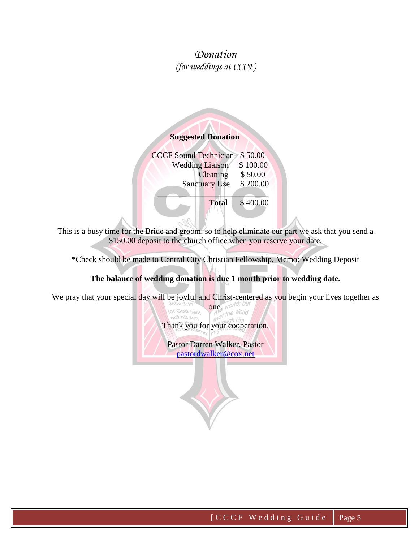## *Donation (for weddings at CCCF)*

### **Suggested Donation**

 CCCF Sound Technician \$ 50.00 Wedding Liaison \$100.00 Cleaning \$ 50.00 Sanctuary Use \$ 200.00  $\mathcal{L} = \mathcal{L} \mathcal{L}$  **Total** \$ 400.00

This is a busy time for the Bride and groom, so to help eliminate our part we ask that you send a \$150.00 deposit to the church office when you reserve your date.

\*Check should be made to Central City Christian Fellowship, Memo: Wedding Deposit

#### **The balance of wedding donation is due 1 month prior to wedding date.**

We pray that your special day will be joyful and Christ-centered as you begin your lives together as